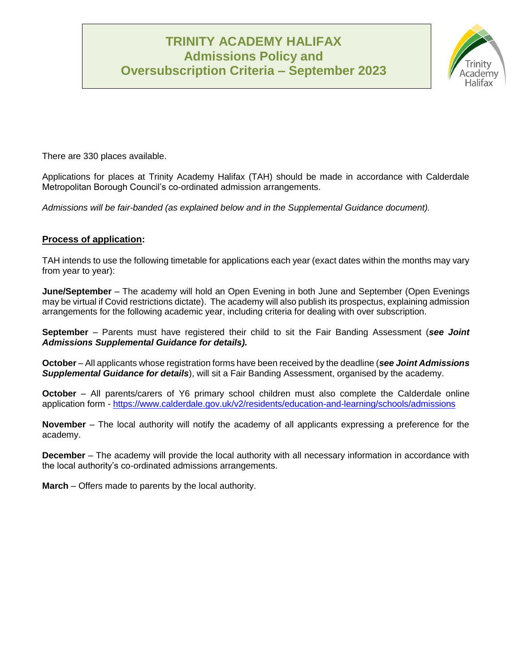# **TRINITY ACADEMY HALIFAX Admissions Policy and Oversubscription Criteria – September 2023**



There are 330 places available.

Applications for places at Trinity Academy Halifax (TAH) should be made in accordance with Calderdale Metropolitan Borough Council's co-ordinated admission arrangements.

*Admissions will be fair-banded (as explained below and in the Supplemental Guidance document).*

## **Process of application:**

TAH intends to use the following timetable for applications each year (exact dates within the months may vary from year to year):

**June/September** – The academy will hold an Open Evening in both June and September (Open Evenings may be virtual if Covid restrictions dictate). The academy will also publish its prospectus, explaining admission arrangements for the following academic year, including criteria for dealing with over subscription.

**September** – Parents must have registered their child to sit the Fair Banding Assessment (*see Joint Admissions Supplemental Guidance for details).* 

**October** – All applicants whose registration forms have been received by the deadline (*see Joint Admissions Supplemental Guidance for details*), will sit a Fair Banding Assessment, organised by the academy.

**October** – All parents/carers of Y6 primary school children must also complete the Calderdale online application form - <https://www.calderdale.gov.uk/v2/residents/education-and-learning/schools/admissions>

**November** – The local authority will notify the academy of all applicants expressing a preference for the academy.

**December** – The academy will provide the local authority with all necessary information in accordance with the local authority's co-ordinated admissions arrangements.

**March** – Offers made to parents by the local authority.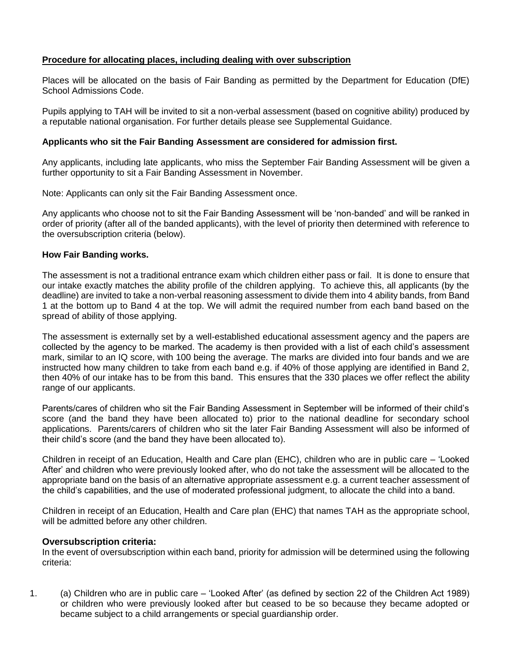### **Procedure for allocating places, including dealing with over subscription**

Places will be allocated on the basis of Fair Banding as permitted by the Department for Education (DfE) School Admissions Code.

Pupils applying to TAH will be invited to sit a non-verbal assessment (based on cognitive ability) produced by a reputable national organisation. For further details please see Supplemental Guidance.

#### **Applicants who sit the Fair Banding Assessment are considered for admission first.**

Any applicants, including late applicants, who miss the September Fair Banding Assessment will be given a further opportunity to sit a Fair Banding Assessment in November.

Note: Applicants can only sit the Fair Banding Assessment once.

Any applicants who choose not to sit the Fair Banding Assessment will be 'non-banded' and will be ranked in order of priority (after all of the banded applicants), with the level of priority then determined with reference to the oversubscription criteria (below).

#### **How Fair Banding works.**

The assessment is not a traditional entrance exam which children either pass or fail. It is done to ensure that our intake exactly matches the ability profile of the children applying. To achieve this, all applicants (by the deadline) are invited to take a non-verbal reasoning assessment to divide them into 4 ability bands, from Band 1 at the bottom up to Band 4 at the top. We will admit the required number from each band based on the spread of ability of those applying.

The assessment is externally set by a well-established educational assessment agency and the papers are collected by the agency to be marked. The academy is then provided with a list of each child's assessment mark, similar to an IQ score, with 100 being the average. The marks are divided into four bands and we are instructed how many children to take from each band e.g. if 40% of those applying are identified in Band 2, then 40% of our intake has to be from this band. This ensures that the 330 places we offer reflect the ability range of our applicants.

Parents/cares of children who sit the Fair Banding Assessment in September will be informed of their child's score (and the band they have been allocated to) prior to the national deadline for secondary school applications. Parents/carers of children who sit the later Fair Banding Assessment will also be informed of their child's score (and the band they have been allocated to).

Children in receipt of an Education, Health and Care plan (EHC), children who are in public care – 'Looked After' and children who were previously looked after, who do not take the assessment will be allocated to the appropriate band on the basis of an alternative appropriate assessment e.g. a current teacher assessment of the child's capabilities, and the use of moderated professional judgment, to allocate the child into a band.

Children in receipt of an Education, Health and Care plan (EHC) that names TAH as the appropriate school, will be admitted before any other children.

#### **Oversubscription criteria:**

In the event of oversubscription within each band, priority for admission will be determined using the following criteria:

1. (a) Children who are in public care – 'Looked After' (as defined by section 22 of the Children Act 1989) or children who were previously looked after but ceased to be so because they became adopted or became subject to a child arrangements or special guardianship order.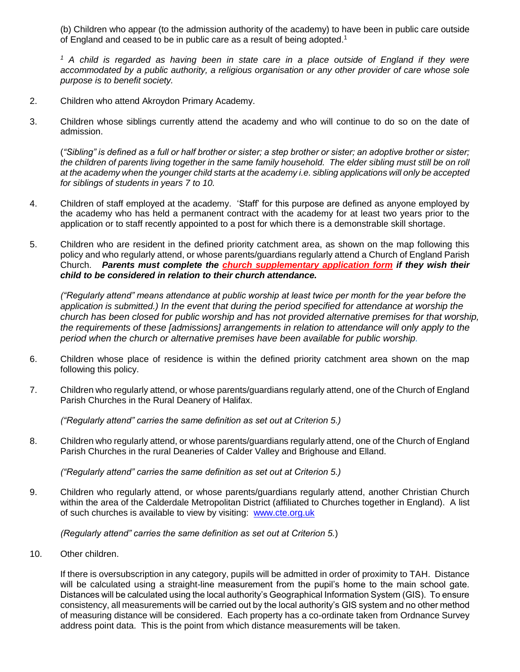(b) Children who appear (to the admission authority of the academy) to have been in public care outside of England and ceased to be in public care as a result of being adopted.<sup>1</sup>

*<sup>1</sup> A child is regarded as having been in state care in a place outside of England if they were accommodated by a public authority, a religious organisation or any other provider of care whose sole purpose is to benefit society.*

- 2. Children who attend Akroydon Primary Academy.
- 3. Children whose siblings currently attend the academy and who will continue to do so on the date of admission.

(*"Sibling" is defined as a full or half brother or sister; a step brother or sister; an adoptive brother or sister;*  the children of parents living together in the same family household. The elder sibling must still be on roll *at the academy when the younger child starts at the academy i.e. sibling applications will only be accepted for siblings of students in years 7 to 10.* 

- 4. Children of staff employed at the academy. 'Staff' for this purpose are defined as anyone employed by the academy who has held a permanent contract with the academy for at least two years prior to the application or to staff recently appointed to a post for which there is a demonstrable skill shortage.
- 5. Children who are resident in the defined priority catchment area, as shown on the map following this policy and who regularly attend, or whose parents/guardians regularly attend a Church of England Parish Church. *Parents must complete the church supplementary application form if they wish their child to be considered in relation to their church attendance.*

*("Regularly attend" means attendance at public worship at least twice per month for the year before the application is submitted.) In the event that during the period specified for attendance at worship the church has been closed for public worship and has not provided alternative premises for that worship, the requirements of these [admissions] arrangements in relation to attendance will only apply to the period when the church or alternative premises have been available for public worship.*

- 6. Children whose place of residence is within the defined priority catchment area shown on the map following this policy.
- 7. Children who regularly attend, or whose parents/guardians regularly attend, one of the Church of England Parish Churches in the Rural Deanery of Halifax.

*("Regularly attend" carries the same definition as set out at Criterion 5.)*

8. Children who regularly attend, or whose parents/guardians regularly attend, one of the Church of England Parish Churches in the rural Deaneries of Calder Valley and Brighouse and Elland.

*("Regularly attend" carries the same definition as set out at Criterion 5.)*

9. Children who regularly attend, or whose parents/guardians regularly attend, another Christian Church within the area of the Calderdale Metropolitan District (affiliated to Churches together in England). A list of such churches is available to view by visiting: [www.cte.org.uk](http://www.cte.org.uk/)

*(Regularly attend" carries the same definition as set out at Criterion 5.*)

10. Other children.

If there is oversubscription in any category, pupils will be admitted in order of proximity to TAH. Distance will be calculated using a straight-line measurement from the pupil's home to the main school gate. Distances will be calculated using the local authority's Geographical Information System (GIS). To ensure consistency, all measurements will be carried out by the local authority's GIS system and no other method of measuring distance will be considered. Each property has a co-ordinate taken from Ordnance Survey address point data. This is the point from which distance measurements will be taken.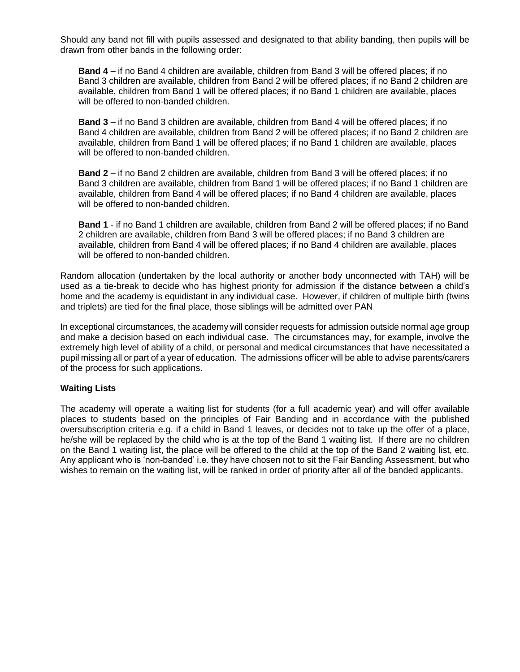Should any band not fill with pupils assessed and designated to that ability banding, then pupils will be drawn from other bands in the following order:

**Band 4** – if no Band 4 children are available, children from Band 3 will be offered places; if no Band 3 children are available, children from Band 2 will be offered places; if no Band 2 children are available, children from Band 1 will be offered places; if no Band 1 children are available, places will be offered to non-banded children.

**Band 3** – if no Band 3 children are available, children from Band 4 will be offered places; if no Band 4 children are available, children from Band 2 will be offered places; if no Band 2 children are available, children from Band 1 will be offered places; if no Band 1 children are available, places will be offered to non-banded children.

**Band 2** – if no Band 2 children are available, children from Band 3 will be offered places; if no Band 3 children are available, children from Band 1 will be offered places; if no Band 1 children are available, children from Band 4 will be offered places; if no Band 4 children are available, places will be offered to non-banded children.

**Band 1** - if no Band 1 children are available, children from Band 2 will be offered places; if no Band 2 children are available, children from Band 3 will be offered places; if no Band 3 children are available, children from Band 4 will be offered places; if no Band 4 children are available, places will be offered to non-banded children.

Random allocation (undertaken by the local authority or another body unconnected with TAH) will be used as a tie-break to decide who has highest priority for admission if the distance between a child's home and the academy is equidistant in any individual case. However, if children of multiple birth (twins and triplets) are tied for the final place, those siblings will be admitted over PAN

In exceptional circumstances, the academy will consider requests for admission outside normal age group and make a decision based on each individual case. The circumstances may, for example, involve the extremely high level of ability of a child, or personal and medical circumstances that have necessitated a pupil missing all or part of a year of education. The admissions officer will be able to advise parents/carers of the process for such applications.

#### **Waiting Lists**

The academy will operate a waiting list for students (for a full academic year) and will offer available places to students based on the principles of Fair Banding and in accordance with the published oversubscription criteria e.g. if a child in Band 1 leaves, or decides not to take up the offer of a place, he/she will be replaced by the child who is at the top of the Band 1 waiting list. If there are no children on the Band 1 waiting list, the place will be offered to the child at the top of the Band 2 waiting list, etc. Any applicant who is 'non-banded' i.e. they have chosen not to sit the Fair Banding Assessment, but who wishes to remain on the waiting list, will be ranked in order of priority after all of the banded applicants.